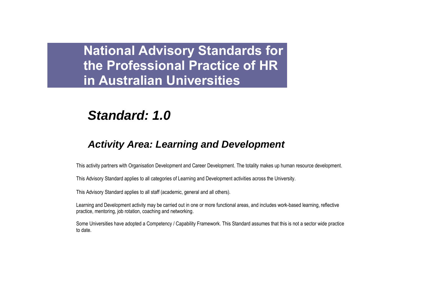# *Standard: 1.0*

## *Activity Area: Learning and Development*

This activity partners with Organisation Development and Career Development. The totality makes up human resource development.

This Advisory Standard applies to all categories of Learning and Development activities across the University.

This Advisory Standard applies to all staff (academic, general and all others).

Learning and Development activity may be carried out in one or more functional areas, and includes work-based learning, reflective practice, mentoring, job rotation, coaching and networking.

Some Universities have adopted a Competency / Capability Framework. This Standard assumes that this is not a sector wide practice to date.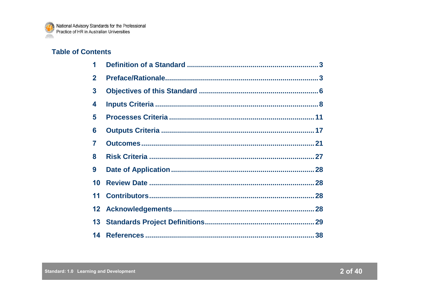

## **Table of Contents**

| 1            |  |
|--------------|--|
| $\mathbf{2}$ |  |
| 3            |  |
| 4            |  |
| 5            |  |
| 6            |  |
| 7            |  |
| 8            |  |
| 9            |  |
| 10           |  |
| 11           |  |
|              |  |
| 13           |  |
|              |  |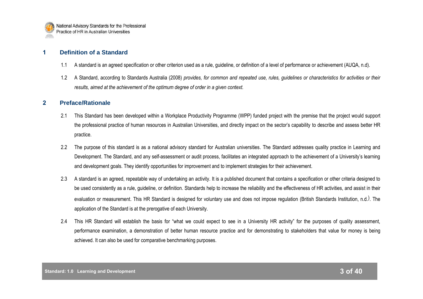

## **1 Definition of a Standard**

- 1.1 A standard is an agreed specification or other criterion used as a rule, guideline, or definition of a level of performance or achievement (AUQA, n.d).
- 1.2 A Standard, according to Standards Australia (2008) *provides, for common and repeated use, rules, guidelines or characteristics for activities or their results, aimed at the achievement of the optimum degree of order in a given context.*

## **2 Preface/Rationale**

- 2.1 This Standard has been developed within a Workplace Productivity Programme (WPP) funded project with the premise that the project would support the professional practice of human resources in Australian Universities, and directly impact on the sector"s capability to describe and assess better HR practice.
- 2.2 The purpose of this standard is as a national advisory standard for Australian universities. The Standard addresses quality practice in Learning and Development. The Standard, and any self-assessment or audit process, facilitates an integrated approach to the achievement of a University"s learning and development goals. They identify opportunities for improvement and to implement strategies for their achievement.
- 2.3 A standard is an agreed, repeatable way of undertaking an activity. It is a published document that contains a specification or other criteria designed to be used consistently as a rule, guideline, or definition. Standards help to increase the reliability and the effectiveness of HR activities, and assist in their evaluation or measurement. This HR Standard is designed for voluntary use and does not impose regulation (British Standards Institution, n.d.). The application of the Standard is at the prerogative of each University.
- 2.4 This HR Standard will establish the basis for "what we could expect to see in a University HR activity" for the purposes of quality assessment, performance examination, a demonstration of better human resource practice and for demonstrating to stakeholders that value for money is being achieved. It can also be used for comparative benchmarking purposes.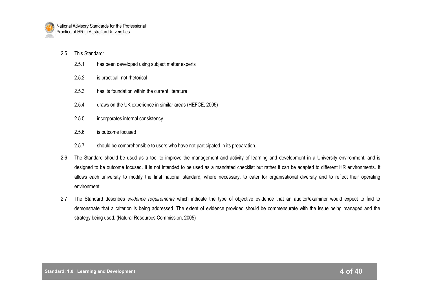

#### 2.5 This Standard:

- 2.5.1 has been developed using subject matter experts
- 2.5.2 is practical, not rhetorical
- 2.5.3 has its foundation within the current literature
- 2.5.4 draws on the UK experience in similar areas (HEFCE, 2005)
- 2.5.5 incorporates internal consistency
- 2.5.6 is outcome focused
- 2.5.7 should be comprehensible to users who have not participated in its preparation.
- 2.6 The Standard should be used as a tool to improve the management and activity of learning and development in a University environment, and is designed to be outcome focused. It is not intended to be used as a mandated checklist but rather it can be adapted to different HR environments. It allows each university to modify the final national standard, where necessary, to cater for organisational diversity and to reflect their operating environment.
- 2.7 The Standard describes *evidence requirements* which indicate the type of objective evidence that an auditor/examiner would expect to find to demonstrate that a criterion is being addressed. The extent of evidence provided should be commensurate with the issue being managed and the strategy being used. (Natural Resources Commission, 2005)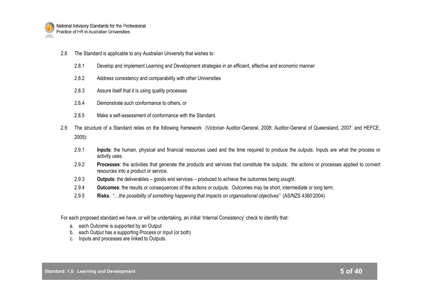

- 2.8 The Standard is applicable to any Australian University that wishes to:
	- 2.8.1 Develop and implement Learning and Development strategies in an efficient, effective and economic manner
	- 2.8.2 Address consistency and comparability with other Universities
	- 2.8.3 Assure itself that it is using quality processes
	- 2.8.4 Demonstrate such conformance to others, or
	- 2.8.5 Make a self-assessment of conformance with the Standard.
- 2.9 The structure of a Standard relies on the following framework (Victorian Auditor-General, 2008; Auditor-General of Queensland, 2007; and HEFCE, 2005):
	- 2.9.1 **Inputs**: the human, physical and financial resources used and the time required to produce the outputs. Inputs are what the process or activity uses.
	- 2.9.2 **Processes**: the activities that generate the products and services that constitute the outputs; the actions or processes applied to convert resources into a product or service.
	- 2.9.3 **Outputs**: the deliverables goods and services produced to achieve the outcomes being sought.
	- 2.9.4 **Outcomes**: the results or consequences of the actions or outputs. Outcomes may be short, intermediate or long term.
	- 2.9.5 **Risks**: "*…the possibility of something happening that impacts on organisational objectives"* (AS/NZS 4360:2004)

For each proposed standard we have, or will be undertaking, an initial "Internal Consistency" check to identify that:

- a. each Outcome is supported by an Output
- b. each Output has a supporting Process or Input (or both)
- c. Inputs and processes are linked to Outputs.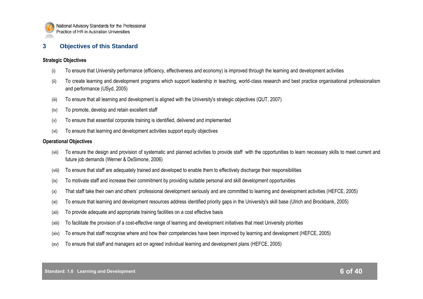

## **3 Objectives of this Standard**

#### **Strategic Objectives**

- (i) To ensure that University performance (efficiency, effectiveness and economy) is improved through the learning and development activities
- (ii) To create learning and development programs which support leadership in teaching, world-class research and best practice organisational professionalism and performance (USyd, 2005)
- (iii) To ensure that all learning and development is aligned with the University's strategic objectives (QUT, 2007)
- (iv) To promote, develop and retain excellent staff
- (v) To ensure that essential corporate training is identified, delivered and implemented
- (vi) To ensure that learning and development activities support equity objectives

#### **Operational Objectives**

- (vii) To ensure the design and provision of systematic and planned activities to provide staff with the opportunities to learn necessary skills to meet current and future job demands (Werner & DeSimone, 2006)
- (viii) To ensure that staff are adequately trained and developed to enable them to effectively discharge their responsibilities
- (ix) To motivate staff and increase their commitment by providing suitable personal and skill development opportunities
- (x) That staff take their own and others" professional development seriously and are committed to learning and development activities (HEFCE, 2005)
- (xi) To ensure that learning and development resources address identified priority gaps in the University's skill base (Ulrich and Brockbank, 2005)
- (xii) To provide adequate and appropriate training facilities on a cost effective basis
- (xiii) To facilitate the provision of a cost-effective range of learning and development initiatives that meet University priorities
- (xiv) To ensure that staff recognise where and how their competencies have been improved by learning and development (HEFCE, 2005)
- (xv) To ensure that staff and managers act on agreed individual learning and development plans (HEFCE, 2005)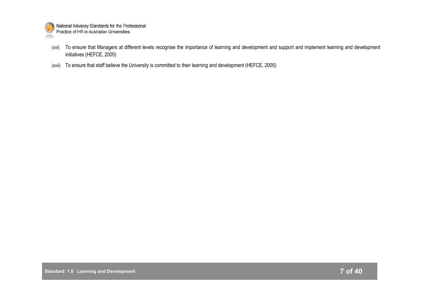

- (xvi) To ensure that Managers at different levels recognise the importance of learning and development and support and implement learning and development initiatives (HEFCE, 2005)
- (xvii) To ensure that staff believe the University is committed to their learning and development (HEFCE, 2005)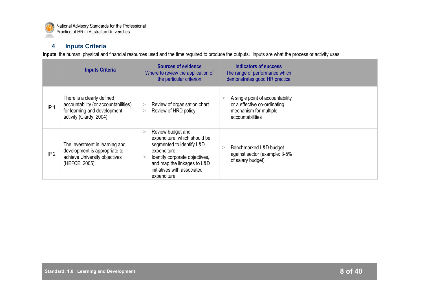

## **4 Inputs Criteria**

**Inputs**: the human, physical and financial resources used and the time required to produce the outputs. Inputs are what the process or activity uses.

|                 | <b>Inputs Criteria</b>                                                                                                        | <b>Sources of evidence</b><br>Where to review the application of<br>the particular criterion                                                                                                                                     | Indicators of success<br>The range of performance which<br>demonstrates good HR practice                       |  |
|-----------------|-------------------------------------------------------------------------------------------------------------------------------|----------------------------------------------------------------------------------------------------------------------------------------------------------------------------------------------------------------------------------|----------------------------------------------------------------------------------------------------------------|--|
| IP <sub>1</sub> | There is a clearly defined<br>accountability (or accountabilities)<br>for learning and development<br>activity (Clardy, 2004) | Review of organisation chart<br>><br>Review of HRD policy<br>>                                                                                                                                                                   | A single point of accountability<br>or a effective co-ordinating<br>mechanism for multiple<br>accountabilities |  |
| IP <sub>2</sub> | The investment in learning and<br>development is appropriate to<br>achieve University objectives<br>(HEFCE, 2005)             | Review budget and<br>$\,>$<br>expenditure, which should be<br>segmented to identify L&D<br>expenditure.<br>Identify corporate objectives,<br>$\,>$<br>and map the linkages to L&D<br>initiatives with associated<br>expenditure. | Benchmarked L&D budget<br>against sector (example: 3-5%<br>of salary budget)                                   |  |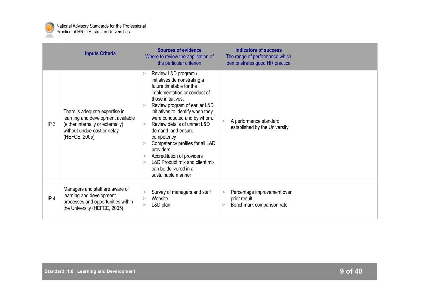

|                 | <b>Inputs Criteria</b>                                                                                                                                    | <b>Sources of evidence</b><br>Where to review the application of<br>the particular criterion                                                                                                                                                                                                                                                                                                                                                                                                                             | <b>Indicators of success</b><br>The range of performance which<br>demonstrates good HR practice |  |
|-----------------|-----------------------------------------------------------------------------------------------------------------------------------------------------------|--------------------------------------------------------------------------------------------------------------------------------------------------------------------------------------------------------------------------------------------------------------------------------------------------------------------------------------------------------------------------------------------------------------------------------------------------------------------------------------------------------------------------|-------------------------------------------------------------------------------------------------|--|
| IP <sub>3</sub> | There is adequate expertise in<br>learning and development available<br>(either internally or externally)<br>without undue cost or delay<br>(HEFCE, 2005) | Review L&D program /<br>><br>initiatives demonstrating a<br>future timetable for the<br>implementation or conduct of<br>those initiatives.<br>Review program of earlier L&D<br>initiatives to identify when they<br>were conducted and by whom.<br>Review details of unmet L&D<br>$\,>$<br>demand and ensure<br>competency<br>Competency profiles for all L&D<br>$\rm{^>}$<br>providers<br>Accreditation of providers<br>><br>L&D Product mix and client mix<br>$\rm{^>}$<br>can be delivered in a<br>sustainable manner | A performance standard<br>><br>established by the University                                    |  |
| IP <sub>4</sub> | Managers and staff are aware of<br>learning and development<br>processes and opportunities within<br>the University (HEFCE, 2005)                         | Survey of managers and staff<br>><br>Website<br>><br>L&D plan<br>>                                                                                                                                                                                                                                                                                                                                                                                                                                                       | Percentage improvement over<br>><br>prior result<br>Benchmark comparison rate<br>>              |  |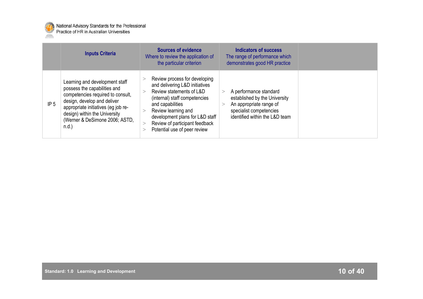

|                 | <b>Inputs Criteria</b>                                                                                                                                                                                                                                   | <b>Sources of evidence</b><br>Where to review the application of<br>the particular criterion                                                                                                                                                                                 | Indicators of success<br>The range of performance which<br>demonstrates good HR practice                                                        |  |
|-----------------|----------------------------------------------------------------------------------------------------------------------------------------------------------------------------------------------------------------------------------------------------------|------------------------------------------------------------------------------------------------------------------------------------------------------------------------------------------------------------------------------------------------------------------------------|-------------------------------------------------------------------------------------------------------------------------------------------------|--|
| IP <sub>5</sub> | Learning and development staff<br>possess the capabilities and<br>competencies required to consult,<br>design, develop and deliver<br>appropriate initiatives (eg job re-<br>design) within the University<br>(Werner & DeSimone 2006; ASTD,<br>$n.d.$ ) | Review process for developing<br>and delivering L&D initiatives<br>Review statements of L&D<br>(internal) staff competencies<br>and capabilities<br>Review learning and<br>development plans for L&D staff<br>Review of participant feedback<br>Potential use of peer review | A performance standard<br>established by the University<br>An appropriate range of<br>specialist competencies<br>identified within the L&D team |  |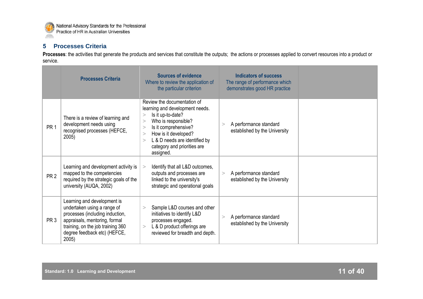

## **5 Processes Criteria**

Processes: the activities that generate the products and services that constitute the outputs; the actions or processes applied to convert resources into a product or service.

|                 | <b>Processes Criteria</b>                                                                                                                                                                                    | <b>Sources of evidence</b><br>Where to review the application of<br>the particular criterion                                                                                                                                                                                    | Indicators of success<br>The range of performance which<br>demonstrates good HR practice |  |
|-----------------|--------------------------------------------------------------------------------------------------------------------------------------------------------------------------------------------------------------|---------------------------------------------------------------------------------------------------------------------------------------------------------------------------------------------------------------------------------------------------------------------------------|------------------------------------------------------------------------------------------|--|
| PR <sub>1</sub> | There is a review of learning and<br>development needs using<br>recognised processes (HEFCE,<br>2005)                                                                                                        | Review the documentation of<br>learning and development needs.<br>Is it up-to-date?<br>><br>Who is responsible?<br>$\geq$<br>Is it comprehensive?<br>$\geq$<br>How is it developed?<br>$\geq$<br>L & D needs are identified by<br>><br>category and priorities are<br>assigned. | A performance standard<br>><br>established by the University                             |  |
| PR <sub>2</sub> | Learning and development activity is<br>mapped to the competencies<br>required by the strategic goals of the<br>university (AUQA, 2002)                                                                      | Identify that all L&D outcomes,<br>outputs and processes are<br>linked to the university's<br>strategic and operational goals                                                                                                                                                   | A performance standard<br>><br>established by the University                             |  |
| PR <sub>3</sub> | Learning and development is<br>undertaken using a range of<br>processes (including induction,<br>appraisals, mentoring, formal<br>training, on the job training 360<br>degree feedback etc) (HEFCE,<br>2005) | Sample L&D courses and other<br>$\geq$<br>initiatives to identify L&D<br>processes engaged.<br>L & D product offerings are<br>><br>reviewed for breadth and depth.                                                                                                              | A performance standard<br>><br>established by the University                             |  |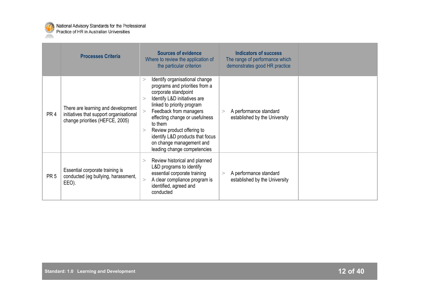

|                 | <b>Processes Criteria</b>                                                                                        | <b>Sources of evidence</b><br>Where to review the application of<br>the particular criterion                                                                                                                                                                                                                                                                              | <b>Indicators of success</b><br>The range of performance which<br>demonstrates good HR practice |  |
|-----------------|------------------------------------------------------------------------------------------------------------------|---------------------------------------------------------------------------------------------------------------------------------------------------------------------------------------------------------------------------------------------------------------------------------------------------------------------------------------------------------------------------|-------------------------------------------------------------------------------------------------|--|
| PR <sub>4</sub> | There are learning and development<br>initiatives that support organisational<br>change priorities (HEFCE, 2005) | Identify organisational change<br>><br>programs and priorities from a<br>corporate standpoint<br>Identify L&D initiatives are<br>linked to priority program<br>Feedback from managers<br>effecting change or usefulness<br>to them<br>Review product offering to<br>$\geq$<br>identify L&D products that focus<br>on change management and<br>leading change competencies | A performance standard<br>><br>established by the University                                    |  |
| PR <sub>5</sub> | Essential corporate training is<br>conducted (eg bullying, harassment,<br>EEO).                                  | Review historical and planned<br>$\rm{>}$<br>L&D programs to identify<br>essential corporate training<br>A clear compliance program is<br>identified, agreed and<br>conducted                                                                                                                                                                                             | A performance standard<br>$\geq$<br>established by the University                               |  |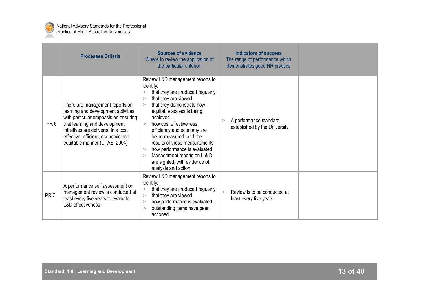

|                 | <b>Processes Criteria</b>                                                                                                                                                                                                                                     | Sources of evidence<br>Where to review the application of<br>the particular criterion                                                                                                                                                                                                                                                                                                                                                                | Indicators of success<br>The range of performance which<br>demonstrates good HR practice |  |
|-----------------|---------------------------------------------------------------------------------------------------------------------------------------------------------------------------------------------------------------------------------------------------------------|------------------------------------------------------------------------------------------------------------------------------------------------------------------------------------------------------------------------------------------------------------------------------------------------------------------------------------------------------------------------------------------------------------------------------------------------------|------------------------------------------------------------------------------------------|--|
| PR <sub>6</sub> | There are management reports on<br>learning and development activities<br>with particular emphasis on ensuring<br>that learning and development<br>initiatives are delivered in a cost<br>effective, efficient, economic and<br>equitable manner (UTAS, 2004) | Review L&D management reports to<br>identify:<br>that they are produced regularly<br>that they are viewed<br>><br>that they demonstrate how<br>><br>equitable access is being<br>achieved<br>how cost effectiveness.<br>$\geq$<br>efficiency and economy are<br>being measured, and the<br>results of those measurements<br>how performance is evaluated<br>><br>Management reports on L & D<br>are sighted, with evidence of<br>analysis and action | A performance standard<br>><br>established by the University                             |  |
| PR <sub>7</sub> | A performance self assessment or<br>management review is conducted at<br>least every five years to evaluate<br><b>L&amp;D</b> effectiveness                                                                                                                   | Review L&D management reports to<br>identify:<br>that they are produced regularly<br>><br>that they are viewed<br>><br>how performance is evaluated<br>><br>outstanding items have been<br>><br>actioned                                                                                                                                                                                                                                             | Review is to be conducted at<br>$\geq$<br>least every five years.                        |  |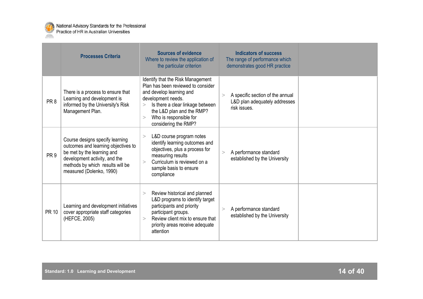

|                 | <b>Processes Criteria</b>                                                                                                                                                                             | <b>Sources of evidence</b><br>Where to review the application of<br>the particular criterion                                                                                                                                                                | <b>Indicators of success</b><br>The range of performance which<br>demonstrates good HR practice |
|-----------------|-------------------------------------------------------------------------------------------------------------------------------------------------------------------------------------------------------|-------------------------------------------------------------------------------------------------------------------------------------------------------------------------------------------------------------------------------------------------------------|-------------------------------------------------------------------------------------------------|
| PR <sub>8</sub> | There is a process to ensure that<br>Learning and development is<br>informed by the University's Risk<br>Management Plan.                                                                             | Identify that the Risk Management<br>Plan has been reviewed to consider<br>and develop learning and<br>development needs.<br>Is there a clear linkage between<br>><br>the L&D plan and the RMP?<br>Who is responsible for<br>$\geq$<br>considering the RMP? | A specific section of the annual<br>><br>L&D plan adequately addresses<br>risk issues.          |
| PR <sub>9</sub> | Course designs specify learning<br>outcomes and learning objectives to<br>be met by the learning and<br>development activity, and the<br>methods by which results will be<br>measured (Dolenko, 1990) | L&D course program notes<br>><br>identify learning outcomes and<br>objectives, plus a process for<br>measuring results<br>Curriculum is reviewed on a<br>$\geq$<br>sample basis to ensure<br>compliance                                                     | A performance standard<br>><br>established by the University                                    |
| <b>PR 10</b>    | Learning and development initiatives<br>cover appropriate staff categories<br>(HEFCE, 2005)                                                                                                           | Review historical and planned<br>><br>L&D programs to identify target<br>participants and priority<br>participant groups.<br>Review client mix to ensure that<br>$\geq$<br>priority areas receive adequate<br>attention                                     | A performance standard<br>$\geq$<br>established by the University                               |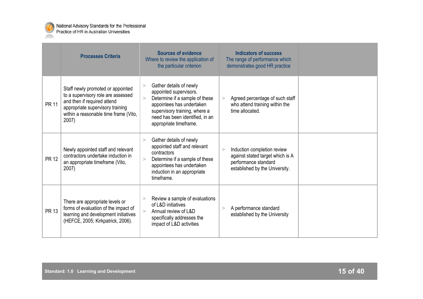

|              | <b>Processes Criteria</b>                                                                                                                                                                    | <b>Sources of evidence</b><br>Where to review the application of<br>the particular criterion                                                                                                                                  | <b>Indicators of success</b><br>The range of performance which<br>demonstrates good HR practice                                |  |
|--------------|----------------------------------------------------------------------------------------------------------------------------------------------------------------------------------------------|-------------------------------------------------------------------------------------------------------------------------------------------------------------------------------------------------------------------------------|--------------------------------------------------------------------------------------------------------------------------------|--|
| <b>PR 11</b> | Staff newly promoted or appointed<br>to a supervisory role are assessed<br>and then if required attend<br>appropriate supervisory training<br>within a reasonable time frame (Vito,<br>2007) | Gather details of newly<br>><br>appointed supervisors.<br>Determine if a sample of these<br>$\geq$<br>appointees has undertaken<br>supervisory training, where a<br>need has been identified, in an<br>appropriate timeframe. | Agreed percentage of such staff<br>><br>who attend training within the<br>time allocated.                                      |  |
| <b>PR 12</b> | Newly appointed staff and relevant<br>contractors undertake induction in<br>an appropriate timeframe (Vito,<br>2007)                                                                         | Gather details of newly<br>><br>appointed staff and relevant<br>contractors<br>Determine if a sample of these<br>><br>appointees has undertaken<br>induction in an appropriate<br>timeframe.                                  | Induction completion review<br>><br>against stated target which is A<br>performance standard<br>established by the University. |  |
| <b>PR 13</b> | There are appropriate levels or<br>forms of evaluation of the impact of<br>learning and development initiatives<br>(HEFCE, 2005; Kirkpatrick, 2006).                                         | Review a sample of evaluations<br>of L&D initiatives<br>Annual review of L&D<br>$\geq$<br>specifically addresses the<br>impact of L&D activities                                                                              | A performance standard<br>><br>established by the University                                                                   |  |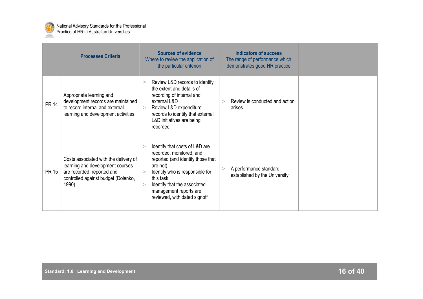

|              | <b>Processes Criteria</b>                                                                                                                               | <b>Sources of evidence</b><br>Where to review the application of<br>the particular criterion                                                                                                                                                                                          | <b>Indicators of success</b><br>The range of performance which<br>demonstrates good HR practice |
|--------------|---------------------------------------------------------------------------------------------------------------------------------------------------------|---------------------------------------------------------------------------------------------------------------------------------------------------------------------------------------------------------------------------------------------------------------------------------------|-------------------------------------------------------------------------------------------------|
| <b>PR 14</b> | Appropriate learning and<br>development records are maintained<br>to record internal and external<br>learning and development activities.               | Review L&D records to identify<br>><br>the extent and details of<br>recording of internal and<br>external L&D<br>Review L&D expenditure<br>$\geq$<br>records to identify that external<br>L&D initiatives are being<br>recorded                                                       | Review is conducted and action<br>$\geq$<br>arises                                              |
| <b>PR 15</b> | Costs associated with the delivery of<br>learning and development courses<br>are recorded, reported and<br>controlled against budget (Dolenko,<br>1990) | Identify that costs of L&D are<br>$\rm{>}$<br>recorded, monitored, and<br>reported (and identify those that<br>are not)<br>Identify who is responsible for<br>$\geq$<br>this task<br>Identify that the associated<br>$\geq$<br>management reports are<br>reviewed, with dated signoff | A performance standard<br>><br>established by the University                                    |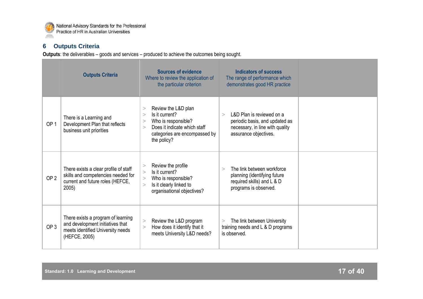

## **6 Outputs Criteria**

**Outputs**: the deliverables – goods and services – produced to achieve the outcomes being sought. ÷

|                 | <b>Outputs Criteria</b>                                                                                                      | <b>Sources of evidence</b><br>Where to review the application of<br>the particular criterion                                                                                 | <b>Indicators of success</b><br>The range of performance which<br>demonstrates good HR practice                                   |  |
|-----------------|------------------------------------------------------------------------------------------------------------------------------|------------------------------------------------------------------------------------------------------------------------------------------------------------------------------|-----------------------------------------------------------------------------------------------------------------------------------|--|
| OP <sub>1</sub> | There is a Learning and<br>Development Plan that reflects<br>business unit priorities                                        | Review the L&D plan<br>><br>Is it current?<br>$\rm{~}$<br>Who is responsible?<br>><br>Does it indicate which staff<br>$\geq$<br>categories are encompassed by<br>the policy? | L&D Plan is reviewed on a<br>$\geq$<br>periodic basis, and updated as<br>necessary, in line with quality<br>assurance objectives. |  |
| OP <sub>2</sub> | There exists a clear profile of staff<br>skills and competencies needed for<br>current and future roles (HEFCE,<br>2005)     | Review the profile<br>><br>Is it current?<br>$\geq$<br>Who is responsible?<br>><br>Is it clearly linked to<br>$\geq$<br>organisational objectives?                           | The link between workforce<br>$\geq$<br>planning (identifying future<br>required skills) and L & D<br>programs is observed.       |  |
| OP <sub>3</sub> | There exists a program of learning<br>and development initiatives that<br>meets identified University needs<br>(HEFCE, 2005) | Review the L&D program<br>><br>How does it identify that it<br>><br>meets University L&D needs?                                                                              | The link between University<br>$\geq$<br>training needs and L & D programs<br>is observed.                                        |  |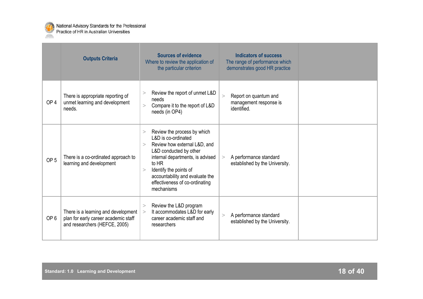

|                 | <b>Outputs Criteria</b>                                                                                      | <b>Sources of evidence</b><br>Where to review the application of<br>the particular criterion                                                                                                                                                                                          | <b>Indicators of success</b><br>The range of performance which<br>demonstrates good HR practice |  |
|-----------------|--------------------------------------------------------------------------------------------------------------|---------------------------------------------------------------------------------------------------------------------------------------------------------------------------------------------------------------------------------------------------------------------------------------|-------------------------------------------------------------------------------------------------|--|
| OP <sub>4</sub> | There is appropriate reporting of<br>unmet learning and development<br>needs.                                | Review the report of unmet L&D<br>><br>needs<br>Compare it to the report of L&D<br>><br>needs (in OP4)                                                                                                                                                                                | Report on quantum and<br>><br>management response is<br>identified.                             |  |
| OP <sub>5</sub> | There is a co-ordinated approach to<br>learning and development                                              | Review the process by which<br>><br>L&D is co-ordinated<br>Review how external L&D, and<br>><br>L&D conducted by other<br>internal departments, is advised<br>to HR<br>Identify the points of<br>><br>accountability and evaluate the<br>effectiveness of co-ordinating<br>mechanisms | A performance standard<br>><br>established by the University.                                   |  |
| OP <sub>6</sub> | There is a learning and development<br>plan for early career academic staff<br>and researchers (HEFCE, 2005) | Review the L&D program<br>><br>It accommodates L&D for early<br>><br>career academic staff and<br>researchers                                                                                                                                                                         | A performance standard<br>><br>established by the University.                                   |  |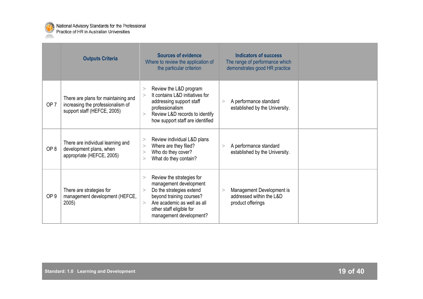

|                 | <b>Outputs Criteria</b>                                                                                 | <b>Sources of evidence</b><br>Where to review the application of<br>the particular criterion                                                                                                                                 | <b>Indicators of success</b><br>The range of performance which<br>demonstrates good HR practice |  |
|-----------------|---------------------------------------------------------------------------------------------------------|------------------------------------------------------------------------------------------------------------------------------------------------------------------------------------------------------------------------------|-------------------------------------------------------------------------------------------------|--|
| OP <sub>7</sub> | There are plans for maintaining and<br>increasing the professionalism of<br>support staff (HEFCE, 2005) | Review the L&D program<br>><br>It contains L&D initiatives for<br>$\geq$<br>addressing support staff<br>professionalism<br>Review L&D records to identify<br>$\geq$<br>how support staff are identified                      | A performance standard<br>><br>established by the University.                                   |  |
| OP <sub>8</sub> | There are individual learning and<br>development plans, when<br>appropriate (HEFCE, 2005)               | Review individual L&D plans<br>><br>Where are they filed?<br>><br>Who do they cover?<br>$\rm{~}$<br>What do they contain?<br>$\rm{~}$                                                                                        | A performance standard<br>$\geq$<br>established by the University.                              |  |
| OP <sub>9</sub> | There are strategies for<br>management development (HEFCE,<br>2005)                                     | Review the strategies for<br>><br>management development<br>Do the strategies extend<br>$\rm{~}$<br>beyond training courses?<br>Are academic as well as all<br>$\geq$<br>other staff eligible for<br>management development? | Management Development is<br>$\geq$<br>addressed within the L&D<br>product offerings            |  |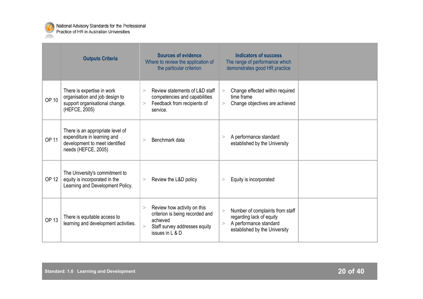

|              | <b>Outputs Criteria</b>                                                                                                  | <b>Sources of evidence</b><br>Where to review the application of<br>the particular criterion                                             | <b>Indicators of success</b><br>The range of performance which<br>demonstrates good HR practice                                  |
|--------------|--------------------------------------------------------------------------------------------------------------------------|------------------------------------------------------------------------------------------------------------------------------------------|----------------------------------------------------------------------------------------------------------------------------------|
| <b>OP 10</b> | There is expertise in work<br>organisation and job design to<br>support organisational change.<br>(HEFCE, 2005)          | Review statements of L&D staff<br>$\geq$<br>competencies and capabilities<br>Feedback from recipients of<br>><br>service.                | Change effected within required<br>><br>time frame<br>Change objectives are achieved<br>>                                        |
| <b>OP 11</b> | There is an appropriate level of<br>expenditure in learning and<br>development to meet identified<br>needs (HEFCE, 2005) | Benchmark data<br>$\geq$                                                                                                                 | A performance standard<br>><br>established by the University                                                                     |
| <b>OP 12</b> | The University's commitment to<br>equity is incorporated in the<br>Learning and Development Policy.                      | Review the L&D policy<br>>                                                                                                               | Equity is incorporated<br>>                                                                                                      |
| <b>OP 13</b> | There is equitable access to<br>learning and development activities.                                                     | Review how activity on this<br>><br>criterion is being recorded and<br>achieved<br>Staff survey addresses equity<br>><br>issues in L & D | Number of complaints from staff<br>><br>regarding lack of equity<br>A performance standard<br>><br>established by the University |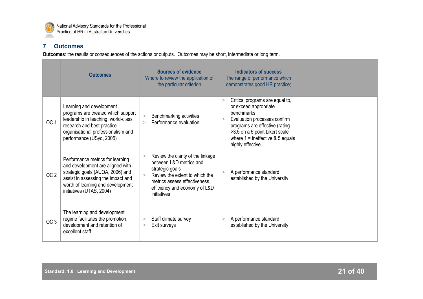

## **7 Outcomes**

**Outcomes**: the results or consequences of the actions or outputs. Outcomes may be short, intermediate or long term. ÷

|                 | <b>Outcomes</b>                                                                                                                                                                                                 | <b>Sources of evidence</b><br>Where to review the application of<br>the particular criterion                                                                                                                      | <b>Indicators of success</b><br>The range of performance which<br>demonstrates good HR practice;                                                                                                                                                    |  |
|-----------------|-----------------------------------------------------------------------------------------------------------------------------------------------------------------------------------------------------------------|-------------------------------------------------------------------------------------------------------------------------------------------------------------------------------------------------------------------|-----------------------------------------------------------------------------------------------------------------------------------------------------------------------------------------------------------------------------------------------------|--|
| OC <sub>1</sub> | Learning and development<br>programs are created which support<br>leadership in teaching, world-class<br>research and best practice<br>organisational professionalism and<br>performance (USyd, 2005)           | Benchmarking activities<br>><br>Performance evaluation                                                                                                                                                            | Critical programs are equal to,<br>><br>or exceed appropriate<br>benchmarks<br>Evaluation processes confirm<br>$\geq$<br>programs are effective (rating<br>>3.5 on a 5 point Likert scale<br>where $1 =$ ineffective & 5 equals<br>highly effective |  |
| OC <sub>2</sub> | Performance metrics for learning<br>and development are aligned with<br>strategic goals (AUQA, 2006) and<br>assist in assessing the impact and<br>worth of learning and development<br>initiatives (UTAS, 2004) | Review the clarity of the linkage<br>><br>between L&D metrics and<br>strategic goals<br>Review the extent to which the<br>$\geq$<br>metrics assess effectiveness,<br>efficiency and economy of L&D<br>initiatives | A performance standard<br>$\geq$<br>established by the University                                                                                                                                                                                   |  |
| OC <sub>3</sub> | The learning and development<br>regime facilitates the promotion,<br>development and retention of<br>excellent staff                                                                                            | Staff climate survey<br>><br>Exit surveys<br>>                                                                                                                                                                    | A performance standard<br>><br>established by the University                                                                                                                                                                                        |  |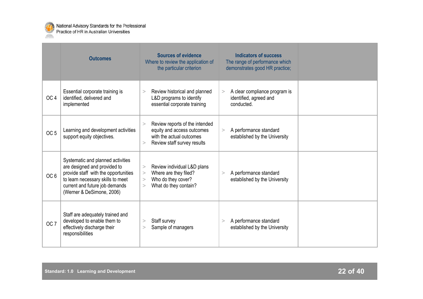

|                 | <b>Outcomes</b>                                                                                                                                                                                               | <b>Sources of evidence</b><br>Where to review the application of<br>the particular criterion                                      | <b>Indicators of success</b><br>The range of performance which<br>demonstrates good HR practice; |  |
|-----------------|---------------------------------------------------------------------------------------------------------------------------------------------------------------------------------------------------------------|-----------------------------------------------------------------------------------------------------------------------------------|--------------------------------------------------------------------------------------------------|--|
| OC <sub>4</sub> | Essential corporate training is<br>identified, delivered and<br>implemented                                                                                                                                   | Review historical and planned<br>><br>L&D programs to identify<br>essential corporate training                                    | A clear compliance program is<br>><br>identified, agreed and<br>conducted.                       |  |
| OC <sub>5</sub> | Learning and development activities<br>support equity objectives.                                                                                                                                             | Review reports of the intended<br>><br>equity and access outcomes<br>with the actual outcomes<br>Review staff survey results<br>> | A performance standard<br>><br>established by the University                                     |  |
| OC <sub>6</sub> | Systematic and planned activities<br>are designed and provided to<br>provide staff with the opportunities<br>to learn necessary skills to meet<br>current and future job demands<br>(Werner & DeSimone, 2006) | Review individual L&D plans<br>><br>Where are they filed?<br>><br>Who do they cover?<br>><br>What do they contain?<br>>           | A performance standard<br>><br>established by the University                                     |  |
| OC <sub>7</sub> | Staff are adequately trained and<br>developed to enable them to<br>effectively discharge their<br>responsibilities                                                                                            | Staff survey<br>><br>Sample of managers<br>>                                                                                      | A performance standard<br>$\geq$<br>established by the University                                |  |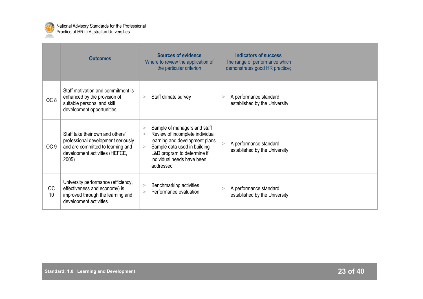

|                 | <b>Outcomes</b>                                                                                                                                        | <b>Sources of evidence</b><br>Where to review the application of<br>the particular criterion                                                                                                                                               | <b>Indicators of success</b><br>The range of performance which<br>demonstrates good HR practice; |  |
|-----------------|--------------------------------------------------------------------------------------------------------------------------------------------------------|--------------------------------------------------------------------------------------------------------------------------------------------------------------------------------------------------------------------------------------------|--------------------------------------------------------------------------------------------------|--|
| OC <sub>8</sub> | Staff motivation and commitment is<br>enhanced by the provision of<br>suitable personal and skill<br>development opportunities.                        | Staff climate survey<br>>                                                                                                                                                                                                                  | A performance standard<br>><br>established by the University                                     |  |
| OC <sub>9</sub> | Staff take their own and others'<br>professional development seriously<br>and are committed to learning and<br>development activities (HEFCE,<br>2005) | Sample of managers and staff<br>><br>Review of incomplete individual<br>$\geq$<br>learning and development plans<br>Sample data used in building<br>$\mathbf{r}$<br>L&D program to determine if<br>individual needs have been<br>addressed | A performance standard<br>><br>established by the University.                                    |  |
| <b>OC</b><br>10 | University performance (efficiency,<br>effectiveness and economy) is<br>improved through the learning and<br>development activities.                   | Benchmarking activities<br>><br>Performance evaluation<br>$\geq$                                                                                                                                                                           | A performance standard<br>><br>established by the University                                     |  |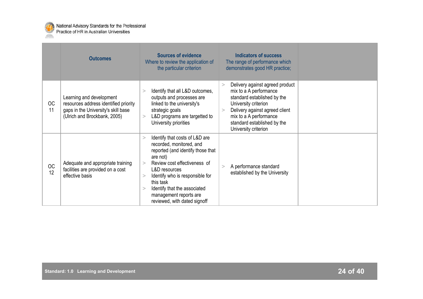

|                 | <b>Outcomes</b>                                                                                                                          | <b>Sources of evidence</b><br>Where to review the application of<br>the particular criterion                                                                                                                                                                                                                                         | <b>Indicators of success</b><br>The range of performance which<br>demonstrates good HR practice;                                                                                                                                                   |  |
|-----------------|------------------------------------------------------------------------------------------------------------------------------------------|--------------------------------------------------------------------------------------------------------------------------------------------------------------------------------------------------------------------------------------------------------------------------------------------------------------------------------------|----------------------------------------------------------------------------------------------------------------------------------------------------------------------------------------------------------------------------------------------------|--|
| OC<br>11        | Learning and development<br>resources address identified priority<br>gaps in the University's skill base<br>(Ulrich and Brockbank, 2005) | Identify that all L&D outcomes,<br>><br>outputs and processes are<br>linked to the university's<br>strategic goals<br>L&D programs are targetted to<br>><br>University priorities                                                                                                                                                    | Delivery against agreed product<br>><br>mix to a A performance<br>standard established by the<br>University criterion<br>Delivery against agreed client<br>$\geq$<br>mix to a A performance<br>standard established by the<br>University criterion |  |
| <b>OC</b><br>12 | Adequate and appropriate training<br>facilities are provided on a cost<br>effective basis                                                | Identify that costs of L&D are<br>><br>recorded, monitored, and<br>reported (and identify those that<br>are not)<br>Review cost effectiveness of<br>$\geq$<br>L&D resources<br>Identify who is responsible for<br>><br>this task<br>Identify that the associated<br>$\geq$<br>management reports are<br>reviewed, with dated signoff | A performance standard<br>><br>established by the University                                                                                                                                                                                       |  |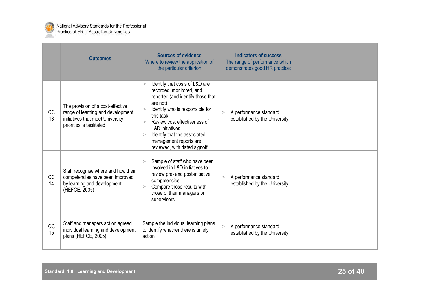

|                 | <b>Outcomes</b>                                                                                                                          | <b>Sources of evidence</b><br>Where to review the application of<br>the particular criterion                                                                                                                                                                                                                                                      | <b>Indicators of success</b><br>The range of performance which<br>demonstrates good HR practice; |  |
|-----------------|------------------------------------------------------------------------------------------------------------------------------------------|---------------------------------------------------------------------------------------------------------------------------------------------------------------------------------------------------------------------------------------------------------------------------------------------------------------------------------------------------|--------------------------------------------------------------------------------------------------|--|
| <b>OC</b><br>13 | The provision of a cost-effective<br>range of learning and development<br>initiatives that meet University<br>priorities is facilitated. | Identify that costs of L&D are<br>><br>recorded, monitored, and<br>reported (and identify those that<br>are not)<br>Identify who is responsible for<br>$\geq$<br>this task<br>Review cost effectiveness of<br>$\geq$<br><b>L&amp;D</b> initiatives<br>Identify that the associated<br>><br>management reports are<br>reviewed, with dated signoff | A performance standard<br>><br>established by the University.                                    |  |
| <b>OC</b><br>14 | Staff recognise where and how their<br>competencies have been improved<br>by learning and development<br>(HEFCE, 2005)                   | Sample of staff who have been<br>$\geq$<br>involved in L&D initiatives to<br>review pre- and post-initiative<br>competencies<br>Compare those results with<br>$\geq$<br>those of their managers or<br>supervisors                                                                                                                                 | A performance standard<br>><br>established by the University.                                    |  |
| OC<br>15        | Staff and managers act on agreed<br>individual learning and development<br>plans (HEFCE, 2005)                                           | Sample the individual learning plans<br>to identify whether there is timely<br>action                                                                                                                                                                                                                                                             | A performance standard<br>$\,>$<br>established by the University.                                |  |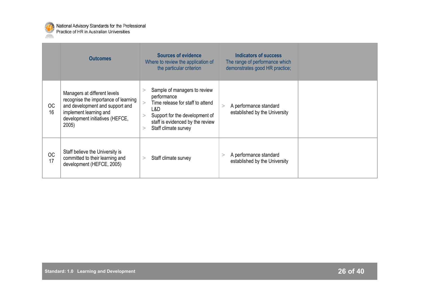

|                 | <b>Outcomes</b>                                                                                                                                                               | <b>Sources of evidence</b><br>Where to review the application of<br>the particular criterion                                                                                                     | Indicators of success<br>The range of performance which<br>demonstrates good HR practice; |  |
|-----------------|-------------------------------------------------------------------------------------------------------------------------------------------------------------------------------|--------------------------------------------------------------------------------------------------------------------------------------------------------------------------------------------------|-------------------------------------------------------------------------------------------|--|
| <b>OC</b><br>16 | Managers at different levels<br>recognise the importance of learning<br>and development and support and<br>implement learning and<br>development initiatives (HEFCE,<br>2005) | Sample of managers to review<br>performance<br>Time release for staff to attend<br>L&D<br>Support for the development of<br>staff is evidenced by the review<br>Staff climate survey<br>$\rm{~}$ | A performance standard<br>><br>established by the University                              |  |
| <b>OC</b><br>17 | Staff believe the University is<br>committed to their learning and<br>development (HEFCE, 2005)                                                                               | Staff climate survey<br>>                                                                                                                                                                        | A performance standard<br>established by the University                                   |  |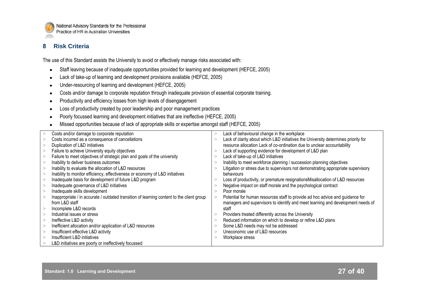

## **8 Risk Criteria**

The use of this Standard assists the University to avoid or effectively manage risks associated with:

- Staff leaving because of inadequate opportunities provided for learning and development (HEFCE, 2005)  $\bullet$
- Lack of take-up of learning and development provisions available (HEFCE, 2005)
- Under-resourcing of learning and development (HEFCE, 2005)  $\bullet$
- Costs and/or damage to corporate reputation through inadequate provision of essential corporate training.  $\bullet$
- Productivity and efficiency losses from high levels of disengagement
- Loss of productivity created by poor leadership and poor management practices
- Poorly focussed learning and development initiatives that are ineffective (HEFCE, 2005)
- Missed opportunities because of lack of appropriate skills or expertise amongst staff (HEFCE, 2005)

| Costs and/or damage to corporate reputation                                               | >            | Lack of behavioural change in the workplace                                        |
|-------------------------------------------------------------------------------------------|--------------|------------------------------------------------------------------------------------|
| Costs incurred as a consequence of cancellations                                          | >            | Lack of clarity about which L&D initiatives the University determines priority for |
| Duplication of L&D initiatives                                                            |              | resource allocation Lack of co-ordination due to unclear accountability            |
| Failure to achieve University equity objectives                                           | >            | Lack of supporting evidence for development of L&D plan                            |
| Failure to meet objectives of strategic plan and goals of the university                  | >            | Lack of take-up of L&D initiatives                                                 |
| Inability to deliver business outcomes                                                    |              | Inability to meet workforce planning / succession planning objectives              |
| Inability to evaluate the allocation of L&D resources                                     | $\mathbf{r}$ | Litigation or stress due to supervisors not demonstrating appropriate supervisory  |
| Inability to monitor efficiency, effectiveness or economy of L&D initiatives              |              | behaviours                                                                         |
| Inadequate basis for development of future L&D program                                    |              | Loss of productivity, or premature resignations Misallocation of L&D resources     |
| Inadequate governance of L&D initiatives                                                  |              | Negative impact on staff morale and the psychological contract                     |
| Inadequate skills development                                                             |              | Poor morale                                                                        |
| Inappropriate / in accurate / outdated transition of learning content to the client group | $\geq$       | Potential for human resources staff to provide ad hoc advice and guidance for      |
| from L&D staff                                                                            |              | managers and supervisors to identify and meet learning and development needs of    |
| Incomplete L&D records                                                                    |              | staff                                                                              |
| Industrial issues or stress                                                               |              | Providers treated differently across the University                                |
| Ineffective L&D activity                                                                  |              | Reduced information on which to develop or refine L&D plans                        |
| Inefficient allocation and/or application of L&D resources                                |              | Some L&D needs may not be addressed                                                |
| Insufficient effective L&D activity                                                       |              | Uneconomic use of L&D resources                                                    |
| Insufficient L&D initiatives                                                              |              | Workplace stress                                                                   |
| L&D initiatives are poorly or ineffectively focussed                                      |              |                                                                                    |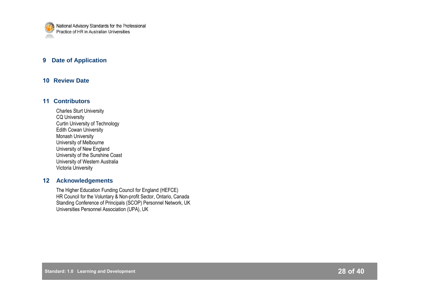

## **9 Date of Application**

## **10 Review Date**

## **11 Contributors**

Charles Sturt University CQ University Curtin University of Technology Edith Cowan University Monash University University of Melbourne University of New England University of the Sunshine Coast University of Western Australia Victoria University

## **12 Acknowledgements**

The Higher Education Funding Council for England (HEFCE) HR Council for the Voluntary & Non-profit Sector, Ontario, Canada Standing Conference of Principals (SCOP) Personnel Network, UK Universities Personnel Association (UPA), UK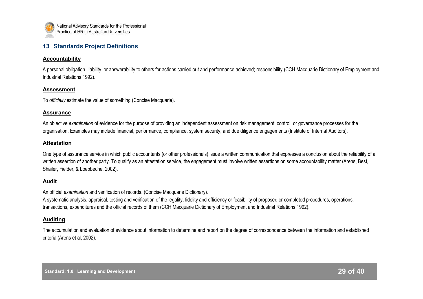

## **13 Standards Project Definitions**

#### **Accountability**

A personal obligation, liability, or answerability to others for actions carried out and performance achieved; responsibility (CCH Macquarie Dictionary of Employment and Industrial Relations 1992).

#### **Assessment**

To *officially* estimate the value of something (Concise Macquarie).

#### **Assurance**

An objective *examination* of evidence for the purpose of providing an independent assessment on risk management, control, or governance processes for the organisation. Examples may include financial, performance, compliance, system security, and due diligence engagements (Institute of Internal Auditors).

## **Attestation**

One type of assurance service in which public accountants (or other professionals) issue a written communication that expresses a conclusion about the reliability of a written assertion of another party. To qualify as an attestation service, the engagement must involve written assertions on some accountability matter (Arens, Best, Shailer, Fielder, & Loebbeche, 2002).

## **Audit**

An official *examination* and verification of records. (Concise Macquarie Dictionary).

A systematic analysis, appraisal, testing and verification of the legality, fidelity and efficiency or feasibility of proposed or completed procedures, operations, transactions, expenditures and the official records of them (CCH Macquarie Dictionary of Employment and Industrial Relations 1992).

## **Auditing**

The accumulation and evaluation of evidence about information to determine and report on the degree of correspondence between the information and established criteria (Arens et al, 2002).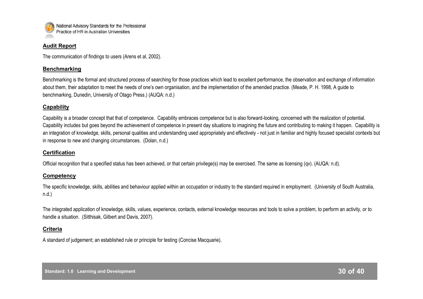

#### **Audit Report**

The communication of findings to users (Arens et al, 2002).

## **Benchmarking**

Benchmarking is the formal and structured process of searching for those practices which lead to excellent performance, the observation and exchange of information about them, their adaptation to meet the needs of one"s own organisation, and the implementation of the amended practice. (Meade, P. H. 1998, A guide to benchmarking, Dunedin, University of Otago Press.) (AUQA: n.d.)

## **Capability**

Capability is a broader concept that that of competence. Capability embraces competence but is also forward-looking, concerned with the realization of potential. Capability includes but goes beyond the achievement of competence in present day situations to imagining the future and contributing to making it happen. Capability is an integration of knowledge, skills, personal qualities and understanding used appropriately and effectively - not just in familiar and highly focused specialist contexts but in response to new and changing circumstances. (Dolan, n.d.)

## **Certification**

Official recognition that a specified status has been achieved, or that certain privilege(s) may be exercised. The same as licensing (qv). (AUQA: n.d).

## **Competency**

The specific knowledge, skills, abilities and behaviour applied within an occupation or industry to the standard required in employment. (University of South Australia, n.d.)

The integrated application of knowledge, skills, values, experience, contacts, external knowledge resources and tools to solve a problem, to perform an activity, or to handle a situation. (Sitthisak, Gilbert and Davis, 2007).

## **Criteria**

A standard of judgement; an established rule or principle for testing (Concise Macquarie).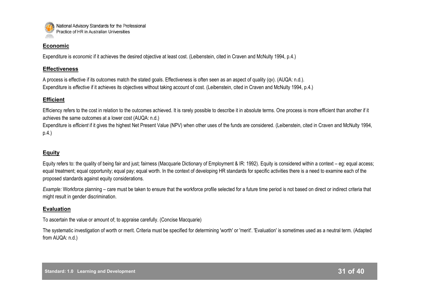

#### **Economic**

Expenditure is *economic* if it achieves the desired objective at least cost. (Leibenstein, cited in Craven and McNulty 1994, p.4.)

## **Effectiveness**

A process is effective if its outcomes match the stated goals. Effectiveness is often seen as an aspect of quality (qv). (AUQA: n.d.). Expenditure is *effective* if it achieves its objectives without taking account of cost. (Leibenstein, cited in Craven and McNulty 1994, p.4.)

## **Efficient**

Efficiency refers to the cost in relation to the outcomes achieved. It is rarely possible to describe it in absolute terms. One process is more efficient than another if it achieves the same outcomes at a lower cost (AUQA: n.d.)

Expenditure is *efficient* if it gives the highest Net Present Value (NPV) when other uses of the funds are considered. (Leibenstein, cited in Craven and McNulty 1994, p.4.)

## **Equity**

Equity refers to: the quality of being fair and just; fairness (Macquarie Dictionary of Employment & IR: 1992). Equity is considered within a context – eg: equal access; equal treatment; equal opportunity; equal pay; equal worth. In the context of developing HR standards for specific activities there is a need to examine each of the proposed standards against equity considerations.

*Example:* Workforce planning – care must be taken to ensure that the workforce profile selected for a future time period is not based on direct or indirect criteria that might result in gender discrimination.

## **Evaluation**

To ascertain the value or amount of; to appraise carefully. (Concise Macquarie)

The systematic investigation of worth or merit. Criteria must be specified for determining 'worth' or 'merit'. 'Evaluation' is sometimes used as a neutral term. (Adapted from AUQA: n.d.)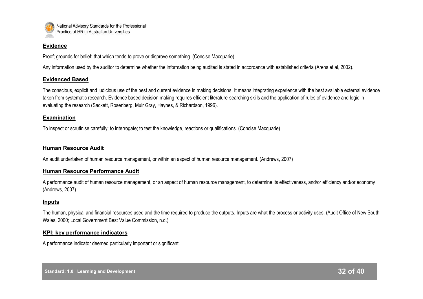

#### **Evidence**

Proof; grounds for belief; that which tends to prove or disprove something. (Concise Macquarie)

Any information used by the auditor to determine whether the information being audited is stated in accordance with established criteria (Arens et al, 2002).

## **Evidenced Based**

The conscious, explicit and judicious use of the best and current evidence in making decisions. It means integrating experience with the best available external evidence taken from systematic research. Evidence based decision making requires efficient literature-searching skills and the application of rules of evidence and logic in evaluating the research (Sackett, Rosenberg, Muir Gray, Haynes, & Richardson, 1996).

## **Examination**

To inspect or scrutinise carefully; to interrogate; to test the knowledge, reactions or qualifications. (Concise Macquarie)

## **Human Resource Audit**

An audit undertaken of human resource management, or within an aspect of human resource management. (Andrews, 2007)

## **Human Resource Performance Audit**

A performance audit of human resource management, or an aspect of human resource management, to determine its effectiveness, and/or efficiency and/or economy (Andrews, 2007).

## **Inputs**

The human, physical and financial resources used and the time required to produce the outputs. Inputs are what the process or activity uses. (Audit Office of New South Wales, 2000; Local Government Best Value Commission, n.d.)

## **KPI: key performance indicators**

A performance indicator deemed particularly important or significant.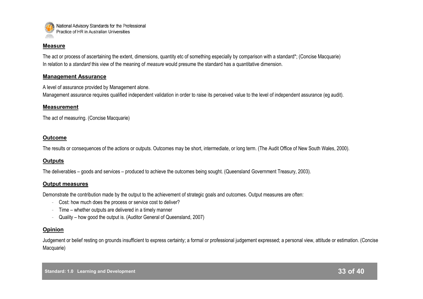

#### **Measure**

The act or process of ascertaining the extent, dimensions, quantity etc of something especially by comparison with a standard\*; (Concise Macquarie) In relation to a *standard* this view of the meaning of *measure* would presume the standard has a quantitative dimension.

#### **Management Assurance**

A level of assurance provided by Management alone.

Management assurance requires qualified independent validation in order to raise its perceived value to the level of independent assurance (eg audit).

#### **Measurement**

The act of measuring. (Concise Macquarie)

#### **Outcome**

The results or consequences of the actions or outputs. Outcomes may be short, intermediate, or long term. (The Audit Office of New South Wales, 2000).

## **Outputs**

The deliverables – goods and services – produced to achieve the outcomes being sought. (Queensland Government Treasury, 2003).

#### **Output measures**

Demonstrate the contribution made by the output to the achievement of strategic goals and outcomes. Output measures are often:

- Cost: how much does the process or service cost to deliver?
- Time whether outputs are delivered in a timely manner
- Quality how good the output is. (Auditor General of Queensland, 2007)

#### **Opinion**

Judgement or belief resting on grounds insufficient to express certainty; a formal or professional judgement expressed; a personal view, attitude or estimation. (Concise Macquarie)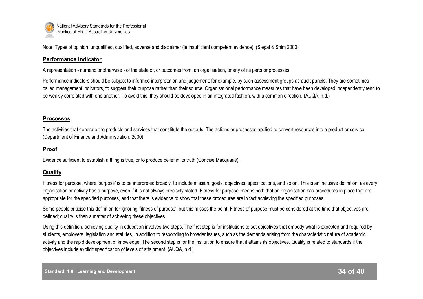

Note: Types of opinion: unqualified, qualified, adverse and disclaimer (ie insufficient competent evidence), (Siegal & Shim 2000)

## **Performance Indicator**

A representation - numeric or otherwise - of the state of, or outcomes from, an organisation, or any of its parts or processes.

Performance indicators should be subject to informed interpretation and judgement; for example, by such assessment groups as audit panels. They are sometimes called management indicators, to suggest their purpose rather than their source. Organisational performance measures that have been developed independently tend to be weakly correlated with one another. To avoid this, they should be developed in an integrated fashion, with a common direction. (AUQA, n.d.)

## **Processes**

The activities that generate the products and services that constitute the outputs. The actions or processes applied to convert resources into a product or service. (Department of Finance and Administration, 2000).

## **Proof**

Evidence sufficient to establish a thing is true, or to produce belief in its truth (Concise Macquarie).

## **Quality**

Fitness for purpose, where 'purpose' is to be interpreted broadly, to include mission, goals, objectives, specifications, and so on. This is an inclusive definition, as every organisation or activity has a purpose, even if it is not always precisely stated. Fitness for purpose' means both that an organisation has procedures in place that are appropriate for the specified purposes, and that there is evidence to show that these procedures are in fact achieving the specified purposes.

Some people criticise this definition for ignoring 'fitness of purpose', but this misses the point. Fitness of purpose must be considered at the time that objectives are defined; quality is then a matter of achieving these objectives.

Using this definition, achieving quality in education involves two steps. The first step is for institutions to set objectives that embody what is expected and required by students, employers, legislation and statutes, in addition to responding to broader issues, such as the demands arising from the characteristic nature of academic activity and the rapid development of knowledge. The second step is for the institution to ensure that it attains its objectives. Quality is related to standards if the objectives include explicit specification of levels of attainment. {AUQA, n.d.)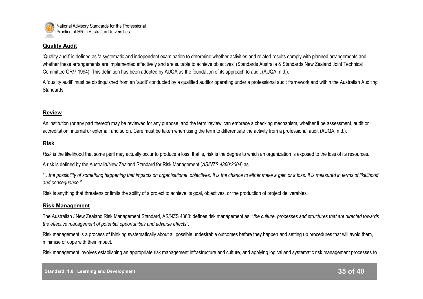

## **Quality Audit**

"Quality audit" is defined as "a systematic and independent examination to determine whether activities and related results comply with planned arrangements and whether these arrangements are implemented effectively and are suitable to achieve objectives' (Standards Australia & Standards New Zealand Joint Technical Committee QR/7 1994). This definition has been adopted by AUQA as the foundation of its approach to audit (AUQA, n.d.).

A "quality audit" must be distinguished from an "audit" conducted by a qualified auditor operating under a professional audit framework and within the Australian Auditing Standards.

## **Review**

An institution (or any part thereof) may be reviewed for any purpose, and the term 'review' can embrace a checking mechanism, whether it be assessment, audit or accreditation, internal or external, and so on. Care must be taken when using the term to differentiate the activity from a professional audit (AUQA, n.d.).

## **Risk**

*Risk* is the likelihood that some peril may actually occur to produce a loss, that is, risk is the degree to which an organization is exposed to the loss of its resources.

A risk is defined by the Australia/New Zealand Standard for Risk Management (*AS/NZS 4360:2004*) as

*"…the possibility of something happening that impacts on organisational objectives. It is the chance to either make a gain or a loss. It is measured in terms of likelihood and consequence."*

Risk is anything that threatens or limits the ability of a project to achieve its goal, objectives, or the production of project deliverables.

## **Risk Management**

The Australian / New Zealand Risk Management Standard, AS/NZS 4360: defines risk management as: "*the culture, processes and structures that are directed towards the effective management of potential opportunities and adverse effects*".

Risk management is a process of thinking systematically about all possible undesirable outcomes before they happen and setting up procedures that will avoid them, minimise or cope with their impact.

Risk management involves establishing an appropriate risk management infrastructure and culture, and applying logical and systematic risk management processes to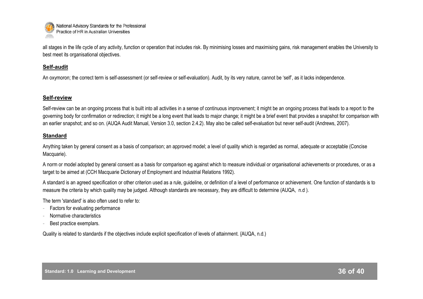

all stages in the life cycle of any activity, function or operation that includes risk. By minimising losses and maximising gains, risk management enables the University to best meet its organisational objectives.

#### **Self-audit**

An oxymoron; the correct term is self-assessment (or self-review or self-evaluation). Audit, by its very nature, cannot be 'self', as it lacks independence.

## **Self-review**

Self-review can be an ongoing process that is built into all activities in a sense of continuous improvement; it might be an ongoing process that leads to a report to the governing body for confirmation or redirection; it might be a long event that leads to major change; it might be a brief event that provides a snapshot for comparison with an earlier snapshot; and so on. (AUQA Audit Manual, Version 3.0, section 2.4.2). May also be called self-evaluation but never self-audit (Andrews, 2007).

## **Standard**

Anything taken by general consent as a basis of comparison; an approved model; a level of quality which is regarded as normal, adequate or acceptable (Concise Macquarie).

A norm or model adopted by general consent as a basis for comparison eg against which to measure individual or organisational achievements or procedures, or as a target to be aimed at (CCH Macquarie Dictionary of Employment and Industrial Relations 1992).

A standard is an agreed specification or other criterion used as a rule, guideline, or definition of a level of performance or achievement. One function of standards is to measure the criteria by which quality may be judged. Although standards are necessary, they are difficult to determine (AUQA, n.d ).

The term 'standard' is also often used to refer to:

- Factors for evaluating performance
- Normative characteristics
- Best practice exemplars.

Quality is related to standards if the objectives include explicit specification of levels of attainment. {AUQA, n.d.)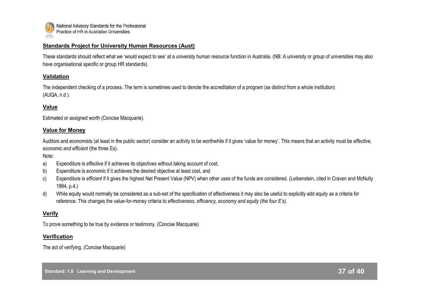

#### **Standards Project for University Human Resources (Aust)**

These standards should reflect what we "would expect to see" at a university human resource function in Australia. (NB: A university or group of universities may also have organisational specific or group HR standards).

## **Validation**

The independent checking of a process. The term is sometimes used to denote the accreditation of a program (as distinct from a whole institution) (AUQA, n.d ).

## **Value**

Estimated or assigned worth (Concise Macquarie).

#### **Value for Money**

Auditors and economists (at least in the public sector) consider an activity to be worthwhile if it gives "value for money". This means that an activity must be *effective, economic and efficient* (the three Es).

Note:

- a) Expenditure is *effective* if it achieves its objectives without taking account of cost,
- b) Expenditure is *economic* if it achieves the desired objective at least cost, and
- c) Expenditure is *efficient* if it gives the highest Net Present Value (NPV) when other uses of the funds are considered. (Leibenstein, cited in Craven and McNulty 1994, p.4.)
- d) While equity would normally be considered as a sub-set of the specification of effectiveness it may also be useful to explicitly add equity as a criteria for reference. This changes the value-for-money criteria to *effectiveness, efficiency, economy and equity (the four E's).*

## **Verify**

To prove something to be true by evidence or testimony. (Concise Macquarie)

#### **Verification**

The act of verifying. (Concise Macquarie)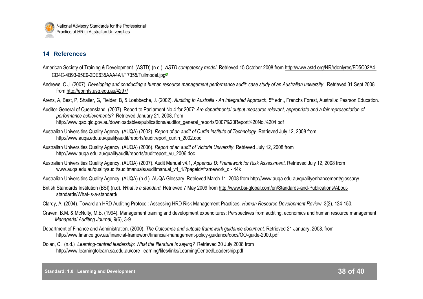

## **14 References**

- American Society of Training & Development. (ASTD) (n.d.) *ASTD competency model*. Retrieved 15 October 2008 from [http://www.astd.org/NR/rdonlyres/FD5C02A4-](http://www.astd.org/NR/rdonlyres/FD5C02A4-CD4C-4B93-95E9-2DE635AAA4A1/17355/Fullmodel.jpg) [CD4C-4B93-95E9-2DE635AAA4A1/17355/Fullmodel.jpg](http://www.astd.org/NR/rdonlyres/FD5C02A4-CD4C-4B93-95E9-2DE635AAA4A1/17355/Fullmodel.jpg)
- Andrews, C.J. (2007). *Developing and conducting a human resource management performance audit: case study of an Australian university*. Retrieved 31 Sept 2008 from <http://eprints.usq.edu.au/4297/>

Arens, A, Best, P, Shailer, G, Fielder, B, & Loebbeche, J. (2002). *Auditing In Australia - An Integrated Approach*, 5th edn., Frenchs Forest, Australia: Pearson Education.

Auditor-General of Queensland. (2007). Report to Parliament No.4 for 2007: *Are departmental output measures relevant, appropriate and a fair representation of performance achievements?* Retrieved January 21, 2008, from http://www.qao.qld.gov.au/downloadables/publications/auditor\_general\_reports/2007%20Report%20No.%204.pdf

- Australian Universities Quality Agency. (AUQA) (2002). *Report of an audit of Curtin Institute of Technology.* Retrieved July 12, 2008 from http://www.auqa.edu.au/qualityaudit/reports/auditreport\_curtin\_2002.doc
- Australian Universities Quality Agency. (AUQA) (2006). *Report of an audit of Victoria University*. Retrieved July 12, 2008 from http://www.auqa.edu.au/qualityaudit/reports/auditreport\_vu\_2006.doc
- Australian Universities Quality Agency. (AUQA) (2007). Audit Manual v4.1, *Appendix D: Framework for Risk Assessment*. Retrieved July 12, 2008 from www.auga.edu.au/qualityaudit/auditmanuals/auditmanual\_v4\_1/?pageid=framework\_d - 44k

Australian Universities Quality Agency. (AUQA) (n.d.). AUQA Glossary. Retrieved March 11, 2008 from http://www.auqa.edu.au/qualityenhancement/glossary/

- British Standards Institution (BSI) (n.d). *What is a standard.* Retrieved 7 May 2009 from http://www.bsi-global.com/en/Standards-and-Publications/Aboutstandards/What-is-a-standard/
- Clardy, A. (2004). Toward an HRD Auditing Protocol: Assessing HRD Risk Management Practices*. Human Resource Development Review*, 3(2), 124-150.
- Craven, B.M. & McNulty, M.B. (1994). Management training and development expenditures: Perspectives from auditing, economics and human resource management. *Managerial Auditing Journal,* 9(6), 3-9.
- Department of Finance and Administration. (2000). *The Outcomes and outputs framework guidance document.* Retrieved 21 January, 2008, from http://www.finance.gov.au/financial-framework/financial-management-policy-guidance/docs/OO-guide-2000.pdf
- Dolan, C. (n.d.) *Learning-centred leadership: What the literature is saying?* Retrieved 30 July 2008 from http://www.learningtolearn.sa.edu.au/core\_learning/files/links/LearningCentredLeadership.pdf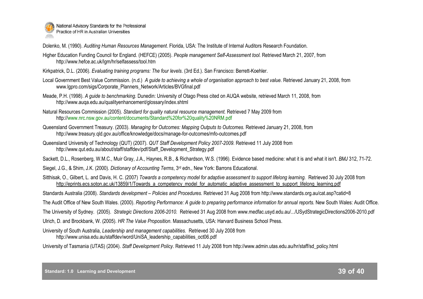

Dolenko, M. (1990). *Auditing Human Resources Management*. Florida, USA: The Institute of Internal Auditors Research Foundation.

- Higher Education Funding Council for England. (HEFCE) (2005). *People management Self-Assessment tool.* Retrieved March 21, 2007, from http://www.hefce.ac.uk/lgm/hr/selfassess/tool.htm
- Kirkpatrick, D.L. (2006). *Evaluating training programs: The four levels.* (3rd Ed.). San Francisco: Berrett-Koehler.
- Local Government Best Value Commission. (n.d.) A *quide to achieving a whole of organisation approach to best value.* Retrieved January 21, 2008, from www.lgpro.com/sigs/Corporate\_Planners\_Network/Articles/BVGfinal.pdf
- Meade, P.H. (1998). *A guide to benchmarking*. Dunedin: University of Otago Press cited on AUQA website, retrieved March 11, 2008, from http://www.auqa.edu.au/qualityenhancement/glossary/index.shtml
- Natural Resources Commission (2005). *Standard for quality natural resource management.* Retrieved 7 May 2009 from http://www.nrc.nsw.gov.au/content/documents/Standard%20for%20quality%20NRM.pdf
- Queensland Government Treasury. (2003). *Managing for Outcomes: Mapping Outputs to Outcomes.* Retrieved January 21, 2008, from http://www.treasury.qld.gov.au/office/knowledge/docs/manage-for-outcomes/mfo-outcomes.pdf
- Queensland University of Technology (QUT) (2007). *QUT Staff Development Policy 2007-2009.* Retrieved 11 July 2008 from http://www.qut.edu.au/about/staff/staffdev/pdf/Staff\_Development\_Strategy.pdf
- Sackett, D.L., Rosenberg, W.M.C., Muir Gray, J.A., Haynes, R.B., & Richardson, W.S. (1996). Evidence based medicine: what it is and what it isn't. *BMJ* 312, 71-72.
- Siegel, J.G., & Shim, J.K. (2000). *Dictionary of Accounting Terms*, 3rd edn., New York: Barrons Educational.
- Sitthisak, O., Gilbert, L. and Davis, H. C. (2007) *Towards a competency model for adaptive assessment to support lifelong learning.* Retrieved 30 July 2008 from [http://eprints.ecs.soton.ac.uk/13859/1/Towards\\_a\\_competency\\_model\\_for\\_automatic\\_adaptive\\_assessment\\_to\\_support\\_lifelong\\_learning.pdf](http://eprints.ecs.soton.ac.uk/13859/1/Towards_a_competency_model_for_automatic_adaptive_assessment_to_support_lifelong_learning.pdf)
- Standards Australia (2008). *Standards development – Policies and Procedures.* Retrieved 31 Aug 2008 from http://www.standards.org.au/cat.asp?catid=8
- The Audit Office of New South Wales. (2000). *Reporting Performance: A guide to preparing performance information for annual reports.* New South Wales: Audit Office.
- The University of Sydney. (2005). *Strategic Directions 2006-2010.* Retrieved 31 Aug 2008 from www.medfac.usyd.edu.au/.../USydStrategicDirections2006-2010.pdf
- Ulrich, D. and Brockbank, W. (2005). *HR The Value Proposition*. Massachusetts, USA: Harvard Business School Press.
- University of South Australia, *Leadership and management capabilities.* Retrieved 30 July 2008 from http://www.unisa.edu.au/staffdev/word/UniSA\_leadership\_capabilities\_oct06.pdf
- University of Tasmania (UTAS) (2004). *Staff Development Policy*. Retrieved 11 July 2008 from http://www.admin.utas.edu.au/hr/staff/sd\_policy.html